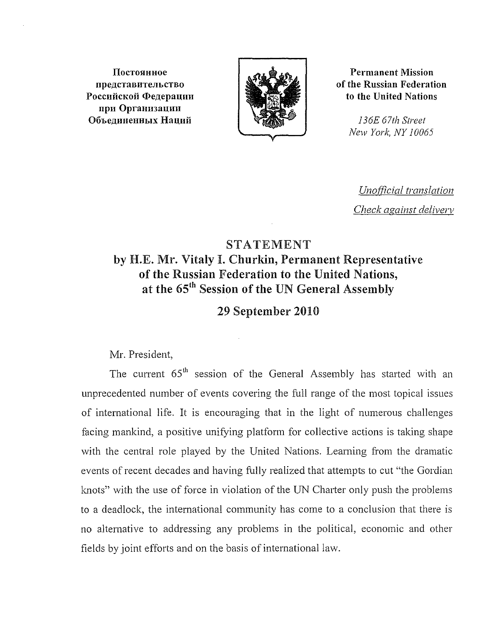**IIOCTOSlHHoe npeACTaBHTenbCTBO** Российской Федерации npn Oprannaauan **06beAIIHeHHbiX** Haunii



**Permanent Mission of the Russian Federation to the United Nations**

> *136£ 67th Street New York, NY 10065*

*Unofficial translation Check against deliverv*

## STATEMENT **by H.E. Mr. Vitaly I.** Churkin, **Permanent Representative of the Russian Federation to the United Nations, at the 65th Session of the UN General Assembly**

**29 September 2010**

Mr. President,

The current 65<sup>th</sup> session of the General Assembly has started with an unprecedented number of events covering the full range of the most topical issues of international life. It is encouraging that in the light of numerous challenges facing mankind, a positive unifying platform for collective actions is taking shape with the central role played by the United Nations. Learning from the dramatic events of recent decades and having fully realized that attempts to cut "the Gordian knots" with the use of force in violation of the UN Charter only push the problems to a deadlock, the international community has come to a conclusion that there is no alternative to addressing any problems in the political, economic and other fields by joint efforts and on the basis of international law.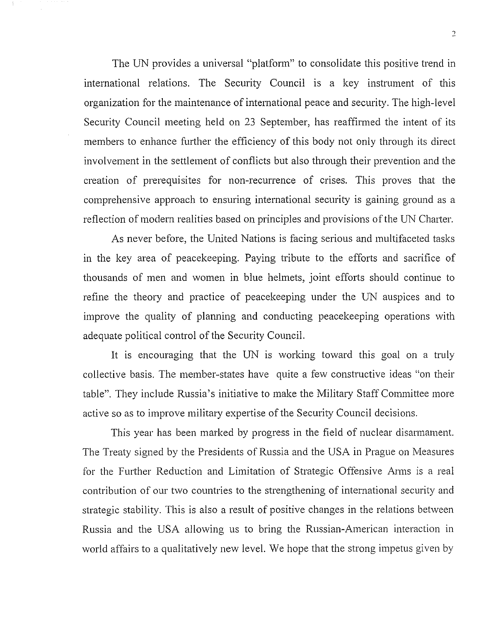The UN provides a universal "platform" to consolidate this positive trend in international relations. The Security Council is a key instrument of this organization for the maintenance of international peace and security. The high-level Security Council meeting held on 23 September, has reaffirmed the intent of its members to enhance further the efficiency of this body not only through its direct involvement in the settlement of conflicts but also through their prevention and the creation of prerequisites for non-recurrence of crises. This proves that the comprehensive approach to ensuring international security is gaining ground as a reflection of modern realities based on principles and provisions of the UN Charter.

As never before, the United Nations is facing serious and multifaceted tasks in the key area of peacekeeping. Paying tribute to the efforts and sacrifice of thousands of men and women in blue helmets, joint efforts should continue to refine the theory and practice of peacekeeping under the UN auspices and to improve the quality of planning and conducting peacekeeping operations with adequate political control of the Security Council.

It is encouraging that the UN is working toward this goal on a truly collective basis. The member-states have quite a few constructive ideas "on their table". They include Russia's initiative to make the Military Staff Committee more active so as to improve military expertise of the Security Council decisions.

This year has been marked by progress in the field of nuclear disarmament. The Treaty signed by the Presidents of Russia and the USA in Prague on Measures for the Further Reduction and Limitation of Strategic Offensive Arms is a real contribution of our two countries to the strengthening of international security and strategic stability. This is also a result of positive changes in the relations between Russia and the USA allowing us to bring the Russian-American interaction in world affairs to a qualitatively new level. We hope that the strong impetus given by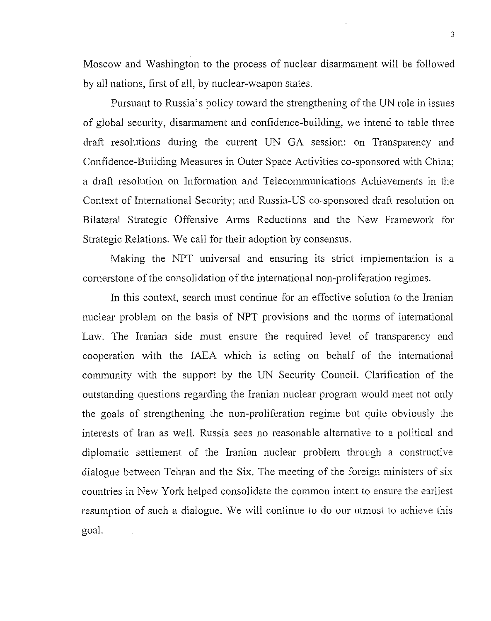Moscow and Washington to the process of nuclear disarmament will be followed by all nations, first of all, by nuclear-weapon states.

Pursuant to Russia's policy toward the strengthening of the UN role in issues of global security, disarmament and confidence-building, we intend to table three draft resolutions during the current UN GA session: on Transparency and Confidence-Building Measures in Outer Space Activities co-sponsored with China; a draft resolution on Information and Telecommunications Achievements in the Context of International Security; and Russia-US co-sponsored draft resolution on Bilateral Strategic Offensive Arms Reductions and the New Framework for Strategic Relations. We call for their adoption by consensus.

Making the NPT universal and ensuring its strict implementation is a cornerstone of the consolidation of the international non-proliferation regimes.

In this context, search must continue for an effective solution to the Iranian nuclear problem on the basis of NPT provisions and the norms of international Law. The Iranian side must ensure the required level of transparency and cooperation with the IAEA which is acting on behalf of the international community with the support by the UN Security Council. Clarification of the outstanding questions regarding the Iranian nuclear program would meet not only the goals of strengthening the non-proliferation regime but quite obviously the interests of Iran as well. Russia sees no reasonable alternative to a political and diplomatic settlement of the Iranian nuclear problem through a constructive dialogue between Tehran and the Six. The meeting of the foreign ministers of six countries in New York helped consolidate the common intent to ensure the earliest resumption of such a dialogue. We will continue to do our utmost to achieve this goal.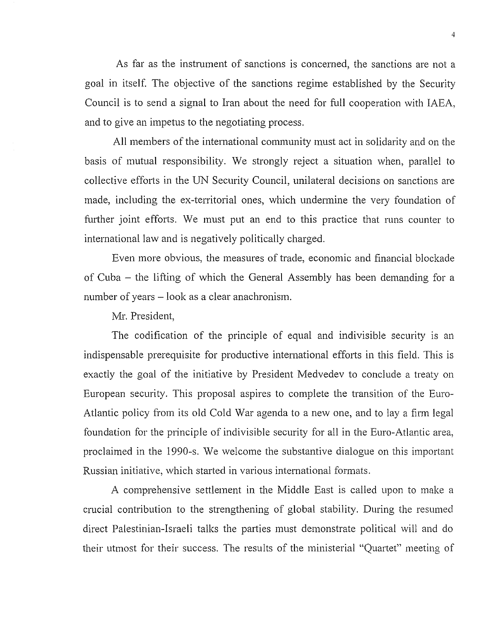As far as the instrument of sanctions is concerned, the sanctions are not a goal in itself. The objective of the sanctions regime established by the Security Council is to send a signal to Iran about the need for full cooperation with IAEA, and to give an impetus to the negotiating process.

All members of the international community must act in solidarity and on the basis of mutual responsibility. We strongly reject a situation when, parallel to collective efforts in the UN Security Council, unilateral decisions on sanctions are made, including the ex-territorial ones, which undermine the very foundation of further joint efforts. We must put an end to this practice that runs counter to international law and is negatively politically charged.

Even more obvious, the measures of trade, economic and financial blockade of Cuba - the lifting of which the General Assembly has been demanding for a number of years - look as a clear anachronism.

Mr. President,

The codification of the principle of equal and indivisible security is an indispensable prerequisite for productive international efforts in this field. This is exactly the goal of the initiative by President Medvedev to conclude a treaty on European security. This proposal aspires to complete the transition of the Euro-Atlantic policy from its old Cold War agenda to a new one, and to lay a firm legal foundation for the principle of indivisible security for all in the Euro-Atlantic area, proclaimed in the 1990-s. We welcome the substantive dialogue on this important Russian initiative, which started in various international formats.

A comprehensive settlement in the Middle East is called upon to make a crucial contribution to the strengthening of global stability. During the resumed direct Palestinian-Israeli talks the parties must demonstrate political will and do their utmost for their success. The results of the ministerial "Quartet" meeting of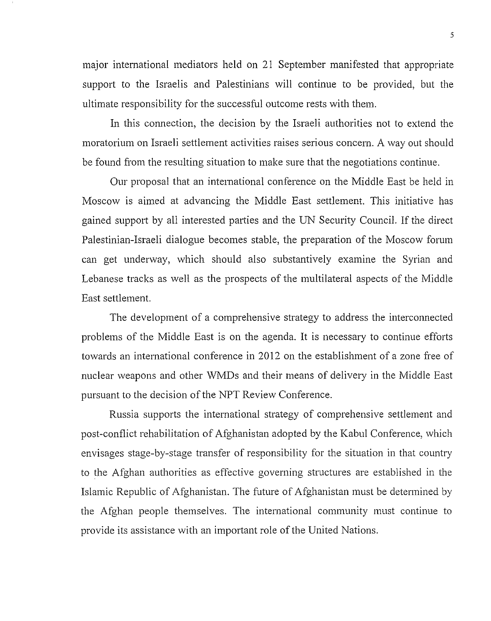major international mediators held on 21 September manifested that appropriate support to the Israelis and Palestinians will continue to be provided, but the ultimate responsibility for the successful outcome rests with them.

In this connection, the decision by the Israeli authorities not to extend the moratorium on Israeli settlement activities raises serious concern. A way out should be found from the resulting situation to make sure that the negotiations continue.

Our proposal that an intemational conference on the Middle East be held in Moscow is aimed at advancing the Middle East settlement. This initiative has gained support by all interested parties and the UN Security Council. If the direct Palestinian-Israeli dialogue becomes stable, the preparation of the Moscow forum can get underway, which should also substantively examine the Syrian and Lebanese tracks as well as the prospects of the multilateral aspects of the Middle East settlement.

The development of a comprehensive strategy to address the interconnected problems of the Middle East is on the agenda. It is necessary to continue efforts towards an international conference in 2012 on the establishment of a zone free of nuclear weapons and other WMDs and their means of delivery in the Middle East pursuant to the decision of the NPT Review Conference.

Russia supports the international strategy of comprehensive settlement and post-conflict rehabilitation of Afghanistan adopted by the Kabul Conference, which envisages stage-by-stage transfer of responsibility for the situation in that country to the Afghan authorities as effective governing structures are established in the Islamic Republic of Afghanistan. The future of Afghanistan must be determined by the Afghan people themselves. The international community must continue to provide its assistance with an important role of the United Nations.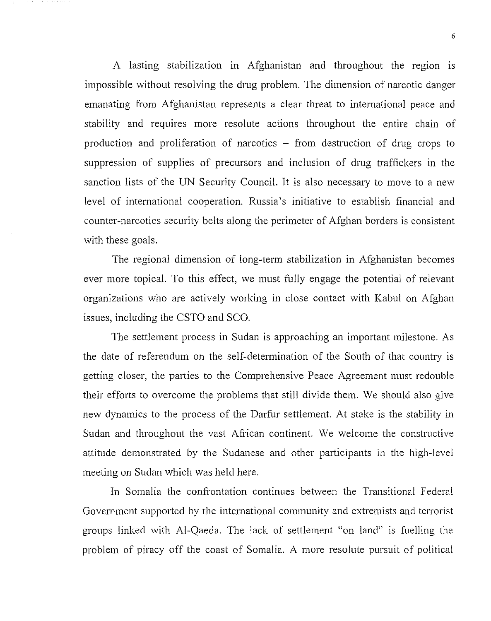A lasting stabilization in Afghanistan and throughout the region is impossible without resolving the drug problem. The dimension of narcotic danger emanating from Afghanistan represents a clear threat to international peace and stability and requires more resolute actions throughout the entire chain of production and proliferation of narcotics  $-$  from destruction of drug crops to suppression of supplies of precursors and inclusion of drug traffickers in the sanction lists of the UN Security Council. It is also necessary to move to a new level of international cooperation. Russia's initiative to establish financial and counter-narcotics security belts along the perimeter of Afghan borders is consistent with these goals.

The regional dimension of long-term stabilization in Afghanistan becomes ever more topical. To this effect, we must fully engage the potential of relevant organizations who are actively working in close contact with Kabul on Afghan issues, including the CSTO and SCO.

The settlement process in Sudan is approaching an important milestone. As the date of referendum on the self-determination of the South of that country is getting closer, the parties to the Comprehensive Peace Agreement must redouble their efforts to overcome the problems that still divide them. We should also give new dynamics to the process of the Darfur settlement. At stake is the stability in Sudan and throughout the vast African continent. We welcome the constructive attitude demonstrated by the Sudanese and other participants in the high-level meeting on Sudan which was held here.

In Somalia the confrontation continues between the Transitional Federal Government supported by the international community and extremists and terrorist groups linked with Al-Qaeda. The lack of settlement "on land" is fuelling the problem of piracy off the coast of Somalia. A more resolute pursuit of political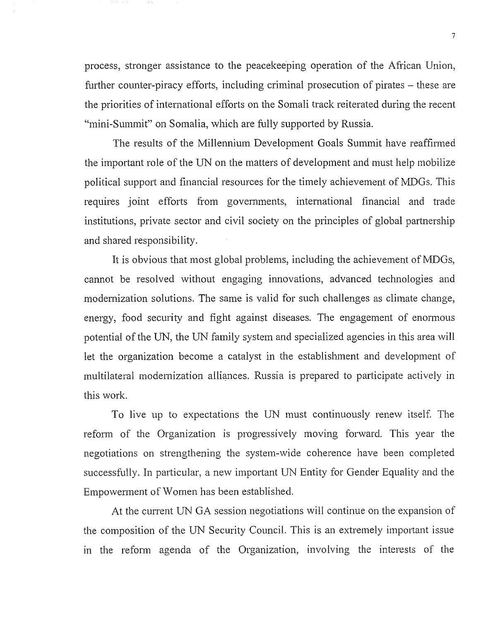process, stronger assistance to the peacekeeping operation of the African Union, further counter-piracy efforts, including criminal prosecution of pirates – these are the priorities of international efforts on the Somali track reiterated during the recent "mini-Summit" on Somalia, which are fully supported by Russia.

The results of the Millennium Development Goals Summit have reaffirmed the important role of the UN on the matters of development and must help mobilize political support and financial resources for the timely achievement of MDGs. This requires joint efforts from governments, international financial and trade institutions, private sector and civil society on the principles of global partnership and shared responsibility.

It is obvious that most global problems, including the achievement of MDGs, cannot be resolved without engaging innovations, advanced technologies and modernization solutions. The same is valid for such challenges as climate change, energy, food security and fight against diseases. The engagement of enormous potential of the UN, the UN family system and specialized agencies in this area will let the organization become a catalyst in the establishment and development of multilateral modernization alliances. Russia is prepared to participate actively in this work.

To live up to expectations the UN must continuously renew itself. The reform of the Organization is progressively moving forward. This year the negotiations on strengthening the system-wide coherence have been completed successfully. In particular, a new important UN Entity for Gender Equality and the Empowerment of Women has been established.

At the current UN GA session negotiations will continue on the expansion of the composition of the UN Security Council. This is an extremely important issue in the reform agenda of the Organization, involving the interests of the